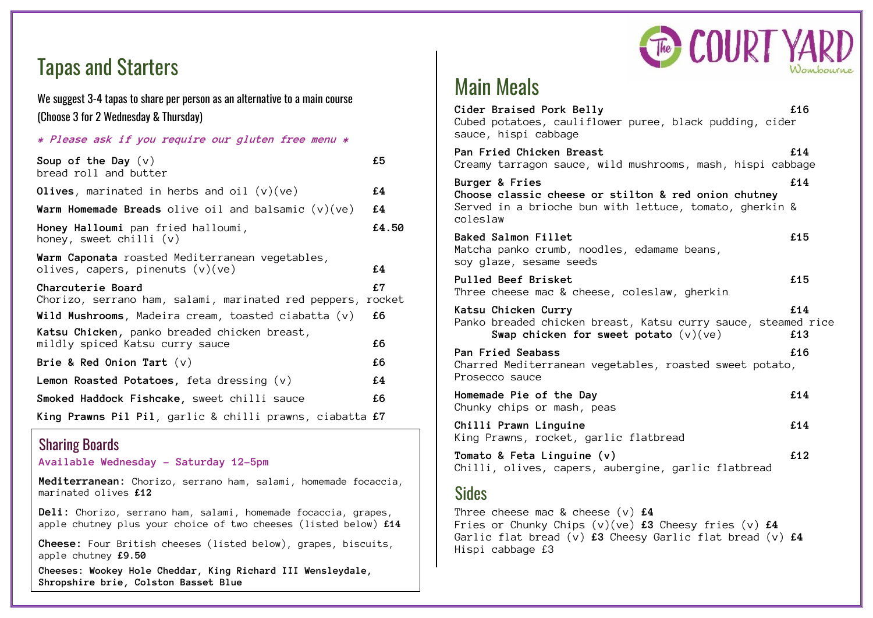

# Tapas and Starters

#### We suggest 3-4 tapas to share per person as an alternative to a main course (Choose 3 for 2 Wednesday & Thursday)

| * Please ask if you require our gluten free menu *                                    |              |
|---------------------------------------------------------------------------------------|--------------|
| Soup of the Day $(v)$<br>bread roll and butter                                        | £5           |
| Olives, marinated in herbs and oil $(v)(ve)$                                          | £4           |
| <b>Warm Homemade Breads</b> olive oil and balsamic $(v)(ve)$                          | £4           |
| Honey Halloumi pan fried halloumi,<br>honey, sweet chilli $(v)$                       | £4.50        |
| Warm Caponata roasted Mediterranean vegetables,<br>olives, capers, pinenuts $(v)(ve)$ | £4           |
| Charcuterie Board<br>Chorizo, serrano ham, salami, marinated red peppers,             | £7<br>rocket |
| Wild Mushrooms, Madeira cream, toasted ciabatta $(v)$                                 | £6           |
| Katsu Chicken, panko breaded chicken breast,<br>mildly spiced Katsu curry sauce       | £6           |
| Brie & Red Onion Tart $(v)$                                                           | £6           |
| <b>Lemon Roasted Potatoes,</b> feta dressing $(v)$                                    | £4           |
| Smoked Haddock Fishcake, sweet chilli sauce                                           | £6           |
| King Prawns Pil Pil, garlic & chilli prawns, ciabatta £7                              |              |

#### Sharing Boards

**Available Wednesday – Saturday 12-5pm**

**Mediterranean:** Chorizo, serrano ham, salami, homemade focaccia, marinated olives **£12**

**Deli:** Chorizo, serrano ham, salami, homemade focaccia, grapes, apple chutney plus your choice of two cheeses (listed below) **£14**

**Cheese:** Four British cheeses (listed below), grapes, biscuits, apple chutney **£9.50**

**Cheeses: Wookey Hole Cheddar, King Richard III Wensleydale, Shropshire brie, Colston Basset Blue**

## Main Meals

| Cider Braised Pork Belly<br>Cubed potatoes, cauliflower puree, black pudding, cider<br>sauce, hispi cabbage                                              | £16        |
|----------------------------------------------------------------------------------------------------------------------------------------------------------|------------|
| Pan Fried Chicken Breast<br>Creamy tarragon sauce, wild mushrooms, mash, hispi cabbage                                                                   | £14        |
| <b>Burger &amp; Fries</b><br>Choose classic cheese or stilton & red onion chutney<br>Served in a brioche bun with lettuce, tomato, gherkin &<br>coleslaw | £14        |
| <b>Baked Salmon Fillet</b><br>Matcha panko crumb, noodles, edamame beans,<br>soy glaze, sesame seeds                                                     | £15        |
| <b>Pulled Beef Brisket</b><br>Three cheese mac & cheese, coleslaw, gherkin                                                                               | £15        |
| Katsu Chicken Curry<br>Panko breaded chicken breast, Katsu curry sauce, steamed rice<br>Swap chicken for sweet potato $(v)(ve)$                          | £14<br>£13 |
| Pan Fried Seabass<br>Charred Mediterranean vegetables, roasted sweet potato,<br>Prosecco sauce                                                           | £16        |
| Homemade Pie of the Day<br>Chunky chips or mash, peas                                                                                                    | £14        |
| Chilli Prawn Linguine<br>King Prawns, rocket, garlic flatbread                                                                                           | £14        |
| Tomato & Feta Linguine (v)<br>Chilli, olives, capers, aubergine, garlic flatbread                                                                        | £12        |
|                                                                                                                                                          |            |

#### Sides

Three cheese mac & cheese (v) **£4** Fries or Chunky Chips (v)(ve) **£3** Cheesy fries (v) **£4** Garlic flat bread (v) **£3** Cheesy Garlic flat bread (v) **£4** Hispi cabbage £3